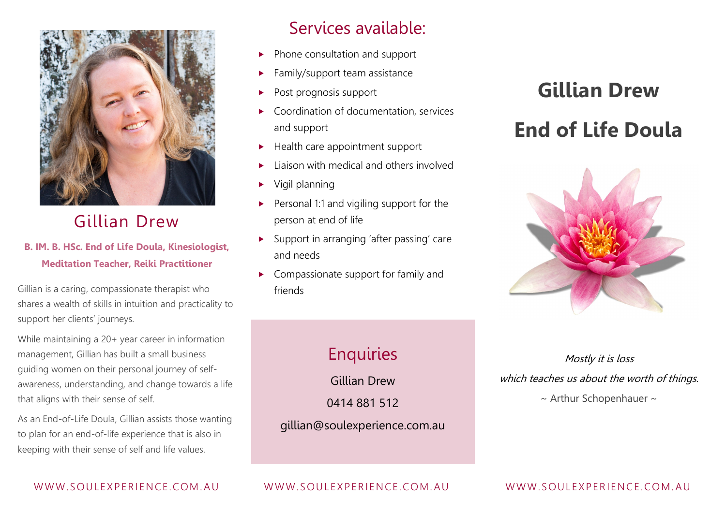

# Gillian Drew

#### **B. IM. B. HSc. End of Life Doula, Kinesiologist, Meditation Teacher, Reiki Practitioner**

Gillian is a caring, compassionate therapist who shares a wealth of skills in intuition and practicality to support her clients' journeys.

While maintaining a 20+ year career in information management, Gillian has built a small business guiding women on their personal journey of selfawareness, understanding, and change towards a life that aligns with their sense of self.

As an End-of-Life Doula, Gillian assists those wanting to plan for an end-of-life experience that is also in keeping with their sense of self and life values.

## Services available:

- $\blacktriangleright$  Phone consultation and support
- $\blacktriangleright$  Family/support team assistance
- Post prognosis support
- Coordination of documentation, services and support
- $\blacktriangleright$  Health care appointment support
- Liaison with medical and others involved
- Vigil planning
- Personal 1:1 and vigiling support for the person at end of life
- ▶ Support in arranging 'after passing' care and needs
- Compassionate support for family and friends

# **Gillian Drew End of Life Doula**



# **Enquiries**

Gillian Drew

0414 881 512

gillian@soulexperience.com.au

Mostly it is loss which teaches us about the worth of things.  $\sim$  Arthur Schopenhauer  $\sim$ 

#### WWW.SOULEXPERIENCE.COM. AU WWW.SOULEXPERIENCE.COM. AU

#### WWW.SOULEXPERIENCE.COM.AU